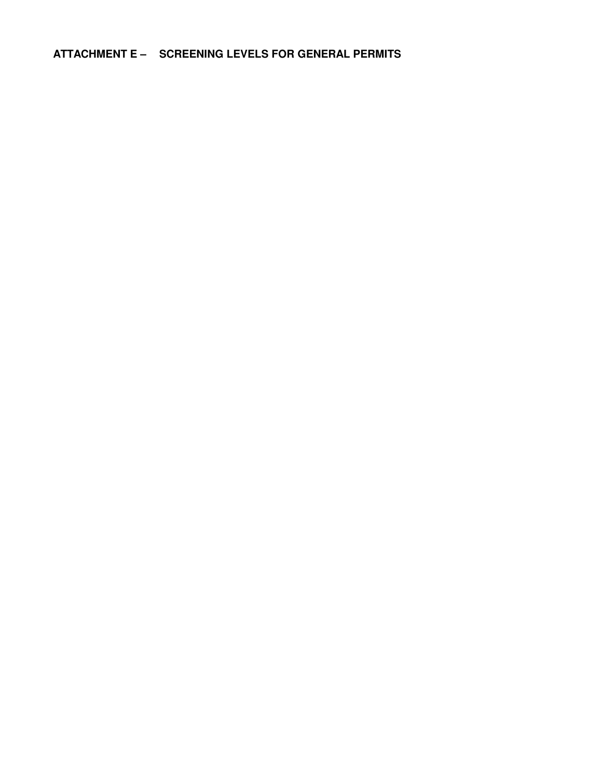ATTACHMENT E - SCREENING LEVELS FOR GENERAL PERMITS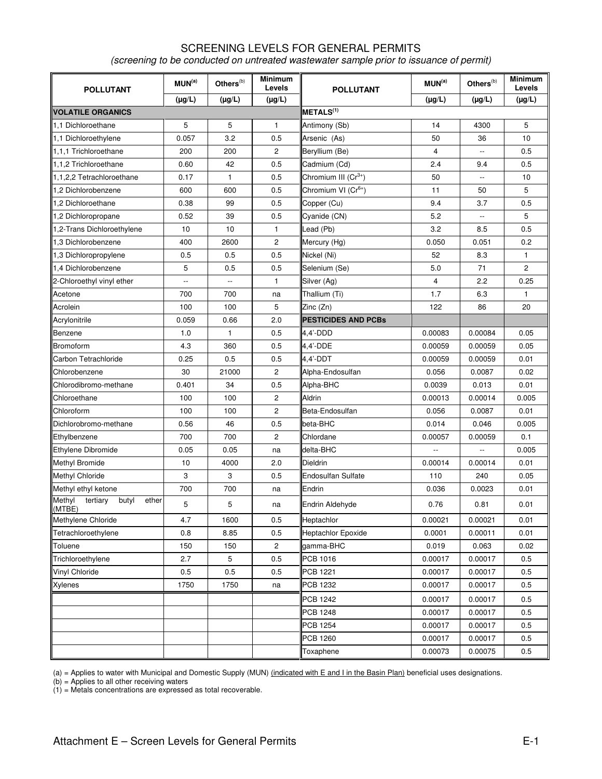## SCREENING LEVELS FOR GENERAL PERMITS (screening to be conducted on untreated wastewater sample prior to issuance of permit)

| <b>POLLUTANT</b>                               | MUN <sup>(a)</sup>       | Others ${}^{(b)}$        | <b>Minimum</b><br>Levels | <b>POLLUTANT</b>                 | MUN <sup>(a)</sup> | Others <sup>(b)</sup>    | <b>Minimum</b><br>Levels |  |
|------------------------------------------------|--------------------------|--------------------------|--------------------------|----------------------------------|--------------------|--------------------------|--------------------------|--|
|                                                | $(\mu g/L)$              | $(\mu g/L)$              | $(\mu g/L)$              |                                  | $(\mu g/L)$        | $(\mu g/L)$              | $(\mu g/L)$              |  |
| <b>VOLATILE ORGANICS</b>                       |                          |                          |                          | METLS <sup>(1)</sup>             |                    |                          |                          |  |
| 1.1 Dichloroethane                             | 5                        | 5                        | $\mathbf{1}$             | Antimony (Sb)                    | 14                 | 4300                     | 5                        |  |
| 1,1 Dichloroethylene                           | 0.057                    | 3.2                      | 0.5                      | Arsenic (As)                     | 50                 | 36                       | 10                       |  |
| 1.1.1 Trichloroethane                          | 200                      | 200                      | 2                        | Beryllium (Be)                   | $\overline{4}$     | $\overline{\phantom{a}}$ | 0.5                      |  |
| 1,1,2 Trichloroethane                          | 0.60                     | 42                       | 0.5                      | Cadmium (Cd)                     | 2.4                | 9.4                      | 0.5                      |  |
| 1,1,2,2 Tetrachloroethane                      | 0.17                     | 1                        | 0.5                      | Chromium III (Cr <sup>3+</sup> ) | 50                 | $\overline{\phantom{a}}$ | 10                       |  |
| 1.2 Dichlorobenzene                            | 600                      | 600                      | 0.5                      | Chromium VI (Cr <sup>6+</sup> )  | 11                 | 50                       | 5                        |  |
| 1,2 Dichloroethane                             | 0.38                     | 99                       | 0.5                      | Copper (Cu)                      | 9.4                | 3.7                      | 0.5                      |  |
| 1,2 Dichloropropane                            | 0.52                     | 39                       | 0.5                      | Cyanide (CN)                     | 5.2                | $\overline{\phantom{a}}$ | 5                        |  |
| 1,2-Trans Dichloroethylene                     | 10                       | 10                       | 1                        | Lead (Pb)                        | 3.2                | 8.5                      | 0.5                      |  |
| 1,3 Dichlorobenzene                            | 400                      | 2600                     | $\mathbf{2}$             | Mercury (Hg)                     | 0.050              | 0.051                    | 0.2                      |  |
| 1,3 Dichloropropylene                          | 0.5                      | 0.5                      | 0.5                      | Nickel (Ni)                      | 52                 | 8.3                      | 1                        |  |
| 1.4 Dichlorobenzene                            | 5                        | 0.5                      | 0.5                      | Selenium (Se)                    | 5.0                | 71                       | $\overline{c}$           |  |
| 2-Chloroethyl vinyl ether                      | $\overline{\phantom{a}}$ | $\overline{\phantom{a}}$ | 1                        | Silver (Ag)                      | $\overline{4}$     | 2.2                      | 0.25                     |  |
| Acetone                                        | 700                      | 700                      | na                       | Thallium (Ti)                    | 1.7                | 6.3                      | $\mathbf{1}$             |  |
| Acrolein                                       | 100                      | 100                      | 5                        | Zinc (Zn)                        | 122                | 86                       | 20                       |  |
| Acrylonitrile                                  | 0.059                    | 0.66                     | 2.0                      | <b>PESTICIDES AND PCBs</b>       |                    |                          |                          |  |
| Benzene                                        | 1.0                      | 1                        | 0.5                      | 4,4'-DDD                         | 0.00083            | 0.00084                  | 0.05                     |  |
| Bromoform                                      | 4.3                      | 360                      | 0.5                      | 4.4'-DDE                         | 0.00059            | 0.00059                  | 0.05                     |  |
| Carbon Tetrachloride                           | 0.25                     | 0.5                      | 0.5                      | 4,4'-DDT                         | 0.00059            | 0.00059                  | 0.01                     |  |
| Chlorobenzene                                  | 30                       | 21000                    | $\mathbf{2}$             | Alpha-Endosulfan                 | 0.056              | 0.0087                   | 0.02                     |  |
| Chlorodibromo-methane                          | 0.401                    | 34                       | 0.5                      | Alpha-BHC                        | 0.0039             | 0.013                    | 0.01                     |  |
| Chloroethane                                   | 100                      | 100                      | 2                        | Aldrin                           | 0.00013            | 0.00014                  | 0.005                    |  |
| Chloroform                                     | 100                      | 100                      | 2                        | Beta-Endosulfan                  | 0.056              | 0.0087                   | 0.01                     |  |
| Dichlorobromo-methane                          | 0.56                     | 46                       | 0.5                      | beta-BHC                         | 0.014              | 0.046                    | 0.005                    |  |
| Ethylbenzene                                   | 700                      | 700                      | $\overline{c}$           | Chlordane                        | 0.00057            | 0.00059                  | 0.1                      |  |
| Ethylene Dibromide                             | 0.05                     | 0.05                     | na                       | delta-BHC                        | --                 | $\overline{\phantom{a}}$ | 0.005                    |  |
| <b>Methyl Bromide</b>                          | 10                       | 4000                     | 2.0                      | <b>Dieldrin</b>                  | 0.00014            | 0.00014                  | 0.01                     |  |
| <b>Methyl Chloride</b>                         | 3                        | 3                        | 0.5                      | <b>Endosulfan Sulfate</b>        | 110                | 240                      | 0.05                     |  |
| Methyl ethyl ketone                            | 700                      | 700                      | na                       | Endrin                           | 0.036              | 0.0023                   | 0.01                     |  |
| Methyl<br>tertiary<br>butyl<br>ether<br>(MTBE) | 5                        | 5                        | na                       | Endrin Aldehyde                  | 0.76               | 0.81                     | 0.01                     |  |
| Methylene Chloride                             | 4.7                      | 1600                     | 0.5                      | Heptachlor                       | 0.00021            | 0.00021                  | 0.01                     |  |
| Tetrachloroethylene                            | 0.8                      | 8.85                     | 0.5                      | <b>Heptachlor Epoxide</b>        | 0.0001             | 0.00011                  | 0.01                     |  |
| Toluene                                        | 150                      | 150                      | $\overline{c}$           | gamma-BHC                        | 0.019              | 0.063                    | 0.02                     |  |
| Trichloroethylene                              | 2.7                      | 5                        | 0.5                      | PCB 1016                         | 0.00017            | 0.00017                  | 0.5                      |  |
| Vinyl Chloride                                 | 0.5                      | 0.5                      | 0.5                      | PCB 1221                         | 0.00017            | 0.00017                  | 0.5                      |  |
| Xylenes                                        | 1750                     | 1750                     | na                       | <b>PCB 1232</b>                  | 0.00017            | 0.00017                  | 0.5                      |  |
|                                                |                          |                          |                          | PCB 1242                         | 0.00017            | 0.00017                  | 0.5                      |  |
|                                                |                          |                          |                          | <b>PCB 1248</b>                  | 0.00017            | 0.00017                  | 0.5                      |  |
|                                                |                          |                          |                          | <b>PCB 1254</b>                  | 0.00017            | 0.00017                  | 0.5                      |  |
|                                                |                          |                          |                          | <b>PCB 1260</b>                  | 0.00017            | 0.00017                  | 0.5                      |  |
|                                                |                          |                          |                          | Toxaphene                        | 0.00073            | 0.00075                  | $0.5\,$                  |  |

(a) = Applies to water with Municipal and Domestic Supply (MUN) (indicated with E and I in the Basin Plan) beneficial uses designations.

(b) = Applies to all other receiving waters

 $(1)$  = Metals concentrations are expressed as total recoverable.